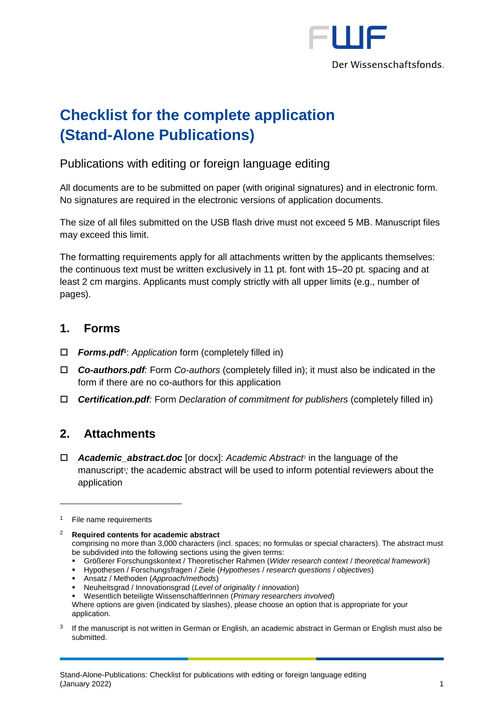

# **Checklist for the complete application (Stand-Alone Publications)**

### Publications with editing or foreign language editing

All documents are to be submitted on paper (with original signatures) and in electronic form. No signatures are required in the electronic versions of application documents.

The size of all files submitted on the USB flash drive must not exceed 5 MB. Manuscript files may exceed this limit.

The formatting requirements apply for all attachments written by the applicants themselves: the continuous text must be written exclusively in 11 pt. font with 15–20 pt. spacing and at least 2 cm margins. Applicants must comply strictly with all upper limits (e.g., number of pages).

#### **1. Forms**

- *Forms.pdf***<sup>1</sup>** : *Application* form (completely filled in)
- *Co-authors.pdf:* Form *Co-authors* (completely filled in); it must also be indicated in the form if there are no co-authors for this application
- *Certification.pdf:* Form *Declaration of commitment for publishers* (completely filled in)

## **2. Attachments**

 *Academic\_abstract.doc* [or docx]: *Academic Abstract*<sup>2</sup> in the language of the manuscript<sup>3</sup>; the academic abstract will be used to inform potential reviewers about the application

1

comprising no more than 3,000 characters (incl. spaces; no formulas or special characters). The abstract must be subdivided into the following sections using the given terms:

- Größerer Forschungskontext / Theoretischer Rahmen (*Wider research context* / *theoretical framework*)
- Hypothesen / Forschungsfragen / Ziele (*Hypotheses* / *research questions* / *objectives*)
- Ansatz / Methoden (*Approach/methods*)

▪ Wesentlich beteiligte WissenschaftlerInnen (*Primary researchers involved*)

3 If the manuscript is not written in German or English, an academic abstract in German or English must also be submitted.

 $1$  File name requirements

<sup>2</sup> **Required contents for academic abstract**

<sup>▪</sup> Neuheitsgrad / Innovationsgrad (*Level of originality* / *innovation*)

Where options are given (indicated by slashes), please choose an option that is appropriate for your application.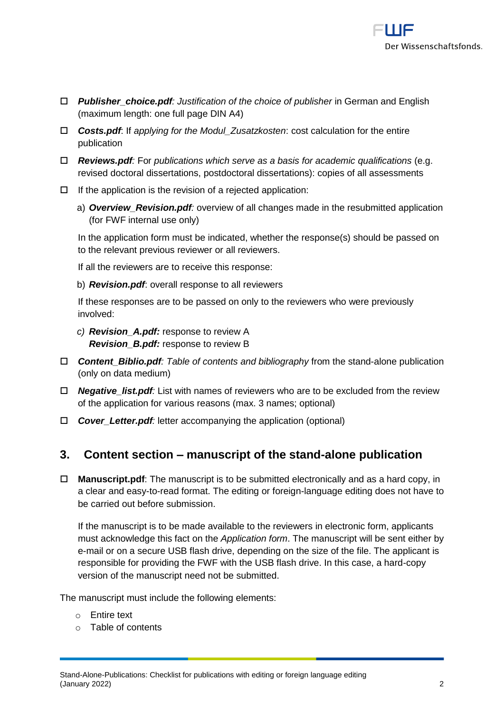

- *Publisher\_choice.pdf: Justification of the choice of publisher* in German and English (maximum length: one full page DIN A4)
- *Costs.pdf*: If *applying for the Modul\_Zusatzkosten*: cost calculation for the entire publication
- *Reviews.pdf:* For *publications which serve as a basis for academic qualifications* (e.g. revised doctoral dissertations, postdoctoral dissertations): copies of all assessments
- $\Box$  If the application is the revision of a rejected application:
	- a) *Overview\_Revision.pdf:* overview of all changes made in the resubmitted application (for FWF internal use only)

In the application form must be indicated, whether the response(s) should be passed on to the relevant previous reviewer or all reviewers.

If all the reviewers are to receive this response:

b) *Revision.pdf*: overall response to all reviewers

If these responses are to be passed on only to the reviewers who were previously involved:

- *c) Revision\_A.pdf:* response to review A *Revision\_B.pdf:* response to review B
- *Content\_Biblio.pdf: Table of contents and bibliography* from the stand-alone publication (only on data medium)
- *Negative\_list.pdf:* List with names of reviewers who are to be excluded from the review of the application for various reasons (max. 3 names; optional)
- *Cover\_Letter.pdf:* letter accompanying the application (optional)

#### **3. Content section – manuscript of the stand-alone publication**

 **Manuscript.pdf**: The manuscript is to be submitted electronically and as a hard copy, in a clear and easy-to-read format. The editing or foreign-language editing does not have to be carried out before submission.

If the manuscript is to be made available to the reviewers in electronic form, applicants must acknowledge this fact on the *Application form*. The manuscript will be sent either by e-mail or on a secure USB flash drive, depending on the size of the file. The applicant is responsible for providing the FWF with the USB flash drive. In this case, a hard-copy version of the manuscript need not be submitted.

The manuscript must include the following elements:

- o Entire text
- o Table of contents